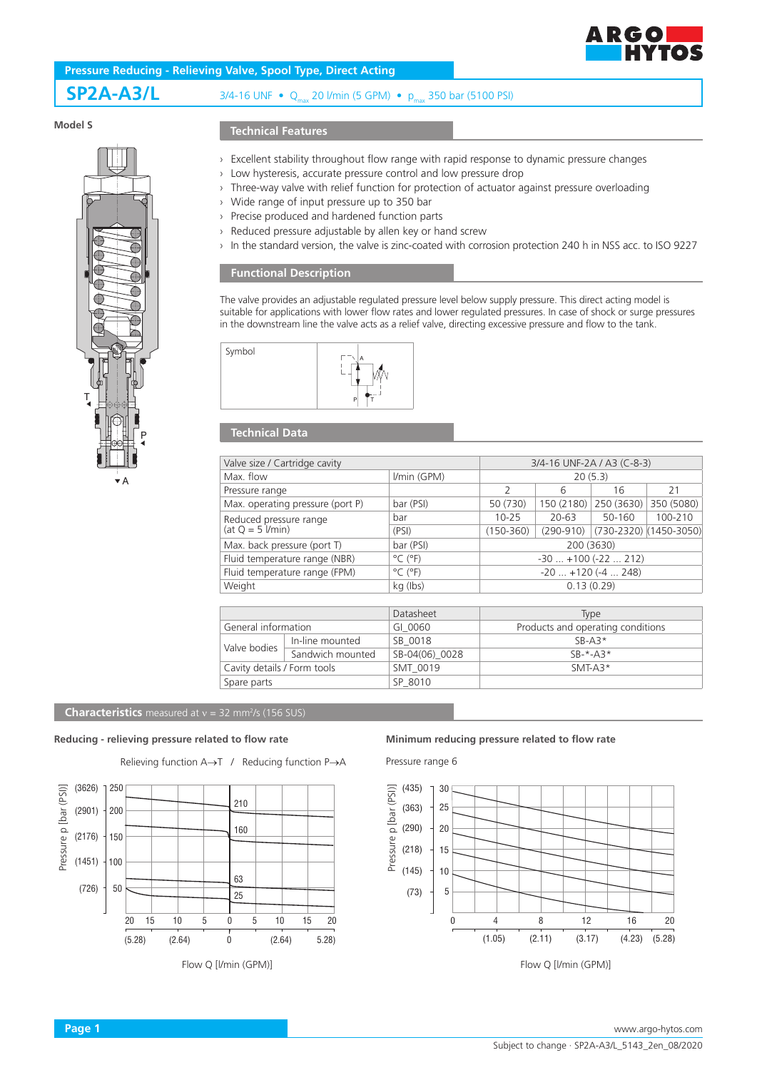

**SP2A-A3/L** 3/4-16 UNF • Q<sub>max</sub> 20 *Vmin* (5 GPM) • p<sub>max</sub> 350 bar (5100 PSI)

## **Model S**



### **Technical Features**

- › Excellent stability throughout flow range with rapid response to dynamic pressure changes
- › Low hysteresis, accurate pressure control and low pressure drop
- › Three-way valve with relief function for protection of actuator against pressure overloading
- › Wide range of input pressure up to 350 bar
- › Precise produced and hardened function parts
- › Reduced pressure adjustable by allen key or hand screw
- › In the standard version, the valve is zinc-coated with corrosion protection 240 h in NSS acc. to ISO 9227

### **Functional Description**

The valve provides an adjustable regulated pressure level below supply pressure. This direct acting model is suitable for applications with lower flow rates and lower regulated pressures. In case of shock or surge pressures in the downstream line the valve acts as a relief valve, directing excessive pressure and flow to the tank.



## **Technical Data**

| Valve size / Cartridge cavity                | 3/4-16 UNF-2A / A3 (C-8-3)   |                           |               |            |                        |
|----------------------------------------------|------------------------------|---------------------------|---------------|------------|------------------------|
| Max. flow                                    | I/min (GPM)                  | 20(5.3)                   |               |            |                        |
| Pressure range                               |                              | 2                         | 6             | 16         | 21                     |
| Max. operating pressure (port P)             | bar (PSI)                    | 50 (730)                  | 150 (2180)    | 250 (3630) | 350 (5080)             |
| Reduced pressure range<br>(at $Q = 5$ l/min) | bar                          | $10 - 25$                 | $20 - 63$     | 50-160     | 100-210                |
|                                              | (PSI)                        | $(150 - 360)$             | $(290 - 910)$ |            | (730-2320) (1450-3050) |
| Max. back pressure (port T)                  | bar (PSI)                    | 200 (3630)                |               |            |                        |
| Fluid temperature range (NBR)                | $^{\circ}$ C ( $^{\circ}$ F) | $-30$ $+100$ ( $-22$ 212) |               |            |                        |
| Fluid temperature range (FPM)                | $^{\circ}$ C ( $^{\circ}$ F) | $-20$ $+120$ ( $-4$ 248)  |               |            |                        |
| Weight                                       | kg (lbs)                     | 0.13(0.29)                |               |            |                        |
|                                              |                              |                           |               |            |                        |
|                                              | Datasheet                    | <b>Type</b>               |               |            |                        |
|                                              |                              |                           |               |            |                        |

|                                            | Datasheet      | <b>TADE</b>                       |
|--------------------------------------------|----------------|-----------------------------------|
| General information                        | GI 0060        | Products and operating conditions |
| In-line mounted<br>SB 0018<br>Valve bodies |                | $SB-43*$                          |
| Sandwich mounted                           | SB-04(06) 0028 | $SR-*-A3*$                        |
| Cavity details / Form tools                | SMT 0019       | SMT-A3*                           |
|                                            | SP 8010        |                                   |
|                                            |                |                                   |

#### **Characteristics** measured at  $v = 32$  mm<sup>2</sup>/s (156 SUS)

Relieving function A→T / Reducing function P→A



Flow Q [l/min (GPM)]

# **Reducing - relieving pressure related to flow rate Minimum reducing pressure related to flow rate**

Pressure range 6